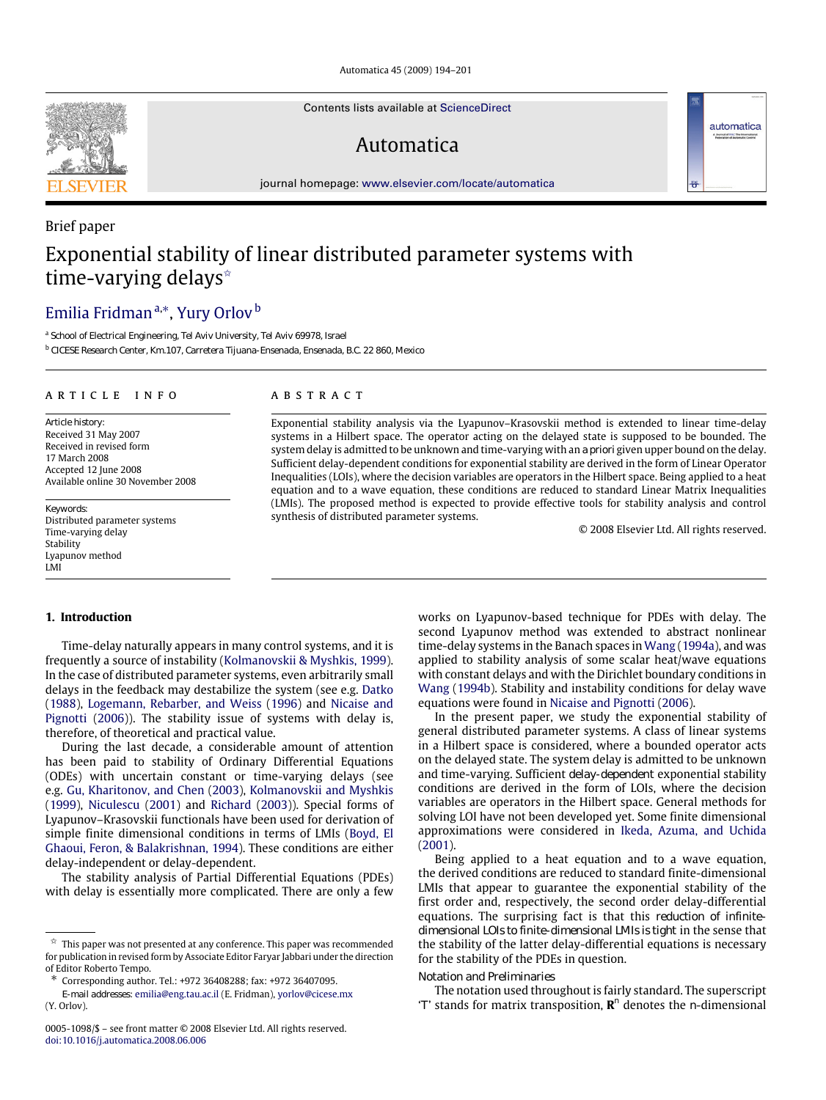Automatica 45 (2009) 194–201

Contents lists available at [ScienceDirect](http://www.elsevier.com/locate/automatica)

# Automatica

journal homepage: [www.elsevier.com/locate/automatica](http://www.elsevier.com/locate/automatica)

# Brief paper Exponential stability of linear distributed parameter systems with time-varying delays<sup>\*</sup>

# Emilia Fridman<sup>a,∗</sup>, Yury Orlov <sup>b</sup>

a *School of Electrical Engineering, Tel Aviv University, Tel Aviv 69978, Israel*

<sup>b</sup> *CICESE Research Center, Km.107, Carretera Tijuana-Ensenada, Ensenada, B.C. 22 860, Mexico*

#### a r t i c l e i n f o

*Article history:* Received 31 May 2007 Received in revised form 17 March 2008 Accepted 12 June 2008 Available online 30 November 2008

*Keywords:* Distributed parameter systems Time-varying delay Stability Lyapunov method LMI

#### A B S T R A C T

Exponential stability analysis via the Lyapunov–Krasovskii method is extended to linear time-delay systems in a Hilbert space. The operator acting on the delayed state is supposed to be bounded. The system delay is admitted to be unknown and time-varying with an *a priori* given upper bound on the delay. Sufficient delay-dependent conditions for exponential stability are derived in the form of Linear Operator Inequalities (LOIs), where the decision variables are operators in the Hilbert space. Being applied to a heat equation and to a wave equation, these conditions are reduced to standard Linear Matrix Inequalities (LMIs). The proposed method is expected to provide effective tools for stability analysis and control synthesis of distributed parameter systems.

© 2008 Elsevier Ltd. All rights reserved.

automatica

## **1. Introduction**

Time-delay naturally appears in many control systems, and it is frequently a source of instability (Kolmanovskii & Myshkis, 1999). In the case of distributed parameter systems, even arbitrarily small delays in the feedback may destabilize the system (see e.g. Datko (1988), Logemann, Rebarber, and Weiss (1996) and Nicaise and Pignotti (2006)). The stability issue of systems with delay is, therefore, of theoretical and practical value.

During the last decade, a considerable amount of attention has been paid to stability of Ordinary Differential Equations (ODEs) with uncertain constant or time-varying delays (see e.g. Gu, Kharitonov, and Chen (2003), Kolmanovskii and Myshkis (1999), Niculescu (2001) and Richard (2003)). Special forms of Lyapunov–Krasovskii functionals have been used for derivation of simple finite dimensional conditions in terms of LMIs (Boyd, El Ghaoui, Feron, & Balakrishnan, 1994). These conditions are either delay-independent or delay-dependent.

The stability analysis of Partial Differential Equations (PDEs) with delay is essentially more complicated. There are only a few

*E-mail addresses:* [emilia@eng.tau.ac.il](mailto:emilia@eng.tau.ac.il) (E. Fridman), [yorlov@cicese.mx](mailto:yorlov@cicese.mx) (Y. Orlov).

works on Lyapunov-based technique for PDEs with delay. The second Lyapunov method was extended to abstract nonlinear time-delay systems in the Banach spaces in Wang (1994a), and was applied to stability analysis of some scalar heat/wave equations with constant delays and with the Dirichlet boundary conditions in Wang (1994b). Stability and instability conditions for delay wave equations were found in Nicaise and Pignotti (2006).

In the present paper, we study the exponential stability of general distributed parameter systems. A class of linear systems in a Hilbert space is considered, where a bounded operator acts on the delayed state. The system delay is admitted to be unknown and time-varying. Sufficient *delay-dependent* exponential stability conditions are derived in the form of LOIs, where the decision variables are operators in the Hilbert space. General methods for solving LOI have not been developed yet. Some finite dimensional approximations were considered in Ikeda, Azuma, and Uchida (2001).

Being applied to a heat equation and to a wave equation, the derived conditions are reduced to standard finite-dimensional LMIs that appear to guarantee the exponential stability of the first order and, respectively, the second order delay-differential equations. The surprising fact is that this *reduction of infinitedimensional LOIs to finite-dimensional LMIs is tight* in the sense that the stability of the latter delay-differential equations is necessary for the stability of the PDEs in question.

## *Notation and Preliminaries*

The notation used throughout is fairly standard. The superscript '*T* ' stands for matrix transposition, **R** *n* denotes the *n*-dimensional



 $\overrightarrow{x}$  This paper was not presented at any conference. This paper was recommended for publication in revised form by Associate Editor Faryar Jabbari under the direction of Editor Roberto Tempo.

<sup>∗</sup> Corresponding author. Tel.: +972 36408288; fax: +972 36407095.

<sup>0005-1098/\$ –</sup> see front matter © 2008 Elsevier Ltd. All rights reserved. [doi:10.1016/j.automatica.2008.06.006](http://dx.doi.org/10.1016/j.automatica.2008.06.006)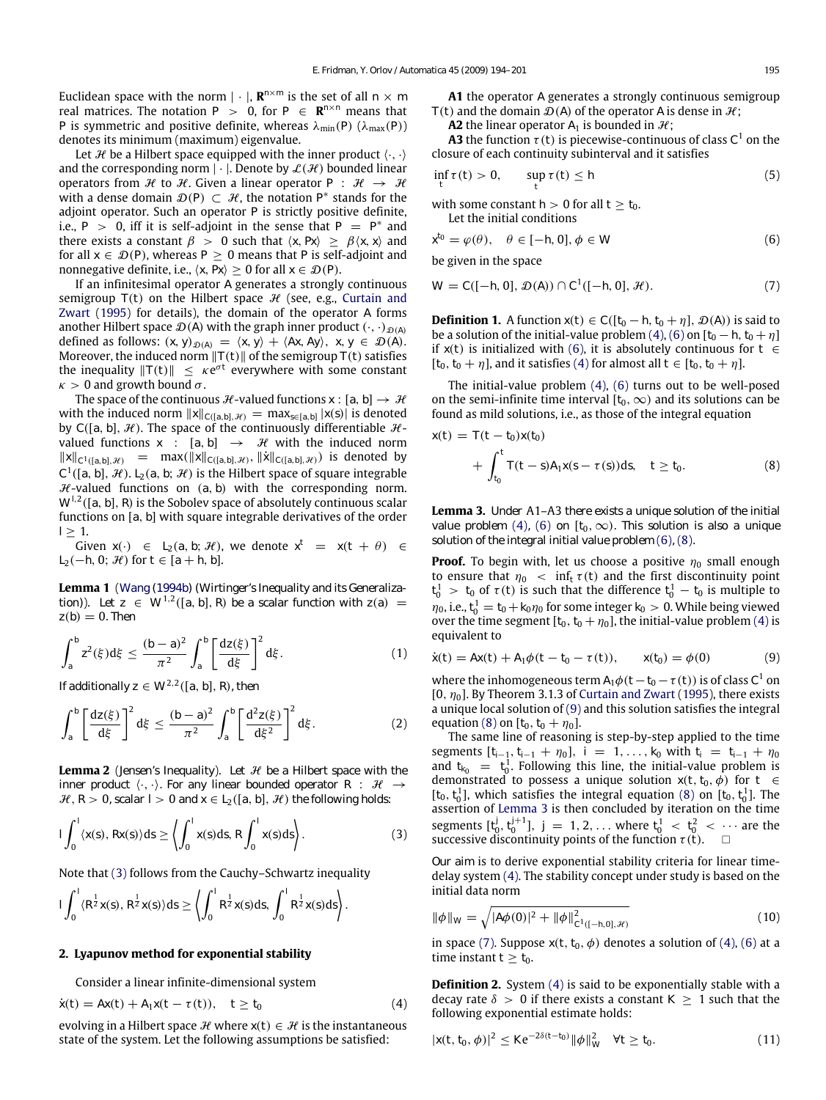Euclidean space with the norm  $|\cdot|$ ,  $\mathbf{R}^{n \times m}$  is the set of all  $n \times m$ real matrices. The notation  $P > 0$ , for  $P \in \mathbb{R}^{n \times n}$  means that *P* is symmetric and positive definite, whereas  $\lambda_{min}(P)$  ( $\lambda_{max}(P)$ ) denotes its minimum (maximum) eigenvalue.

Let H be a Hilbert space equipped with the inner product  $\langle \cdot, \cdot \rangle$ and the corresponding norm  $|\cdot|$ . Denote by  $\mathcal{L}(\mathcal{H})$  bounded linear operators from H to H. Given a linear operator  $P : H \rightarrow H$ with a dense domain  $\mathcal{D}(P) \subset \mathcal{H}$ , the notation  $P^*$  stands for the adjoint operator. Such an operator *P* is strictly positive definite, i.e.,  $P > 0$ , iff it is self-adjoint in the sense that  $P = P^*$  and there exists a constant  $\beta > 0$  such that  $\langle x, Px \rangle \ge \beta \langle x, x \rangle$  and for all  $x \in \mathcal{D}(P)$ , whereas  $P \ge 0$  means that *P* is self-adjoint and nonnegative definite, i.e.,  $\langle x, Px \rangle \geq 0$  for all  $x \in \mathcal{D}(P)$ .

If an infinitesimal operator *A* generates a strongly continuous semigroup  $T(t)$  on the Hilbert space  $H$  (see, e.g., Curtain and Zwart (1995) for details), the domain of the operator *A* forms another Hilbert space  $\mathcal{D}(A)$  with the graph inner product  $(\cdot, \cdot)_{\mathcal{D}(A)}$ defined as follows:  $(x, y)_{\mathcal{D}(A)} = \langle x, y \rangle + \langle Ax, Ay \rangle$ ,  $x, y \in \mathcal{D}(A)$ . Moreover, the induced norm  $||T(t)||$  of the semigroup  $T(t)$  satisfies the inequality  $||T(t)|| \leq \kappa e^{\sigma t}$  everywhere with some constant  $\kappa > 0$  and growth bound  $\sigma$ .

The space of the continuous *H*-valued functions *x* : [a, b]  $\rightarrow$  *H* with the induced norm  $||x||_{C([a,b],\mathcal{H})} = \max_{s \in [a,b]} |x(s)|$  is denoted by  $C([a, b], \mathcal{H})$ . The space of the continuously differentiable  $\mathcal{H}$ valued functions  $x : [a, b] \rightarrow \mathcal{H}$  with the induced norm  $||x||_{C^{1}([a,b],\mathcal{H})}$  = max $(||x||_{C([a,b],\mathcal{H})}, ||x||_{C([a,b],\mathcal{H})})$  is denoted by  $C^1([a, b], \mathcal{H})$ . *L*<sub>2</sub>(*a*, *b*;  $\mathcal{H})$  is the Hilbert space of square integrable  $H$ -valued functions on  $(a, b)$  with the corresponding norm. *W<sup>l</sup>*,<sup>2</sup> ([*a*, *b*], *R*) is the Sobolev space of absolutely continuous scalar functions on [*a*, *b*] with square integrable derivatives of the order *l* ≥ 1.

Given  $x(\cdot) \in L_2(a, b; \mathcal{H})$ , we denote  $x^t = x(t + \theta) \in$ *L*<sub>2</sub>(−*h*, 0;  $H$ ) for  $t \in [a + h, b]$ .

**Lemma 1** (*Wang (1994b) (Wirtinger's Inequality and its Generalization*)). Let  $z \in W^{1,2}([a, b], R)$  be a scalar function with  $z(a) =$  $z(b) = 0$ . Then

$$
\int_{a}^{b} z^2(\xi) d\xi \le \frac{(b-a)^2}{\pi^2} \int_{a}^{b} \left[ \frac{dz(\xi)}{d\xi} \right]^2 d\xi. \tag{1}
$$

*If additionally*  $z \in W^{2,2}([a, b], R)$ , then

$$
\int_{a}^{b} \left[ \frac{\mathrm{d}z(\xi)}{\mathrm{d}\xi} \right]^2 \mathrm{d}\xi \le \frac{(b-a)^2}{\pi^2} \int_{a}^{b} \left[ \frac{\mathrm{d}^2 z(\xi)}{\mathrm{d}\xi^2} \right]^2 \mathrm{d}\xi. \tag{2}
$$

**Lemma 2** (*Jensen's Inequality*). Let  $H$  be a Hilbert space with the *inner product*  $\langle \cdot, \cdot \rangle$ . For any linear bounded operator R :  $\mathcal{H} \rightarrow$  $H, R > 0$ , scalar  $I > 0$  and  $x \in L_2([a, b], \mathcal{H})$  the following holds:

$$
I\int_0^1 \langle x(s), Rx(s) \rangle ds \ge \left\langle \int_0^1 x(s)ds, R \int_0^1 x(s)ds \right\rangle.
$$
 (3)

Note that (3) follows from the Cauchy–Schwartz inequality

$$
1\int_0^1 \langle R^{\frac{1}{2}}x(s), R^{\frac{1}{2}}x(s) \rangle ds \ge \left\langle \int_0^1 R^{\frac{1}{2}}x(s)ds, \int_0^1 R^{\frac{1}{2}}x(s)ds \right\rangle.
$$

#### **2. Lyapunov method for exponential stability**

Consider a linear infinite-dimensional system

$$
\dot{x}(t) = Ax(t) + A_1 x(t - \tau(t)), \quad t \ge t_0
$$
 (4)

evolving in a Hilbert space  $\mathcal{H}$  where  $x(t) \in \mathcal{H}$  is the instantaneous state of the system. Let the following assumptions be satisfied:

**A1** the operator *A* generates a strongly continuous semigroup  $T(t)$  and the domain  $D(A)$  of the operator *A* is dense in  $H$ ;

**A2** the linear operator  $A_1$  is bounded in  $H$ ;

**A3** the function  $\tau(t)$  is piecewise-continuous of class  $C^1$  on the closure of each continuity subinterval and it satisfies

$$
\inf_{t} \tau(t) > 0, \qquad \sup_{t} \tau(t) \leq h \tag{5}
$$

with some constant  $h > 0$  for all  $t > t_0$ . Let the initial conditions

$$
x^{t_0} = \varphi(\theta), \quad \theta \in [-h, 0], \phi \in W \tag{6}
$$

be given in the space

$$
W = C([-h, 0], \mathcal{D}(A)) \cap C^{1}([-h, 0], \mathcal{H}).
$$
\n(7)

**Definition 1.** A function  $x(t) \in C([t_0 - h, t_0 + \eta], \mathcal{D}(A))$  is said to be a solution of the initial-value problem (4), (6) on  $[t_0 - h, t_0 + \eta]$ if *x*(*t*) is initialized with (6), it is absolutely continuous for *t* ∈  $[t_0, t_0 + \eta]$ , and it satisfies (4) for almost all  $t \in [t_0, t_0 + \eta]$ .

The initial-value problem (4), (6) turns out to be well-posed on the semi-infinite time interval  $[t_0, \infty)$  and its solutions can be found as mild solutions, i.e., as those of the integral equation

$$
x(t) = T(t - t_0)x(t_0) + \int_{t_0}^t T(t - s)A_1x(s - \tau(s))ds, \quad t \ge t_0.
$$
 (8)

**Lemma 3.** *Under* A1–A3 *there exists a unique solution of the initial value problem* (4), (6) *on*  $[t_0, \infty)$ *. This solution is also a unique solution of the integral initial value problem* (6)*,* (8)*.*

**Proof.** To begin with, let us choose a positive  $\eta_0$  small enough to ensure that  $\eta_0 < \inf_t \tau(t)$  and the first discontinuity point  $t_0^1$  >  $t_0$  of  $\tau(t)$  is such that the difference  $t_0^1 - t_0$  is multiple to  $\eta_0$ , i.e.,  $t_0^1 = t_0 + k_0 \eta_0$  for some integer  $k_0 > 0$ . While being viewed over the time segment  $[t_0, t_0 + \eta_0]$ , the initial-value problem (4) is equivalent to

$$
\dot{x}(t) = Ax(t) + A_1 \phi(t - t_0 - \tau(t)), \qquad x(t_0) = \phi(0)
$$
 (9)

where the inhomogeneous term  $A_1\phi(t - t_0 - \tau(t))$  is of class  $C^1$  on [0,  $\eta_0$ ]. By Theorem 3.1.3 of Curtain and Zwart (1995), there exists a unique local solution of (9) and this solution satisfies the integral equation (8) on  $[t_0, t_0 + \eta_0]$ .

The same line of reasoning is step-by-step applied to the time segments  $[t_{i-1}, t_{i-1} + \eta_0]$ ,  $i = 1, ..., k_0$  with  $t_i = t_{i-1} + \eta_0$ and  $t_{k_0} = t_0^1$ . Following this line, the initial-value problem is demonstrated to possess a unique solution  $x(t, t_0, \phi)$  for  $t \in$  $[t_0, t_0^1]$ , which satisfies the integral equation (8) on  $[t_0, t_0^1]$ . The assertion of Lemma 3 is then concluded by iteration on the time segments  $[t_0^j, t_0^{j+1}]$ ,  $j = 1, 2, ...$  where  $t_0^1 < t_0^2 < ...$  are the successive discontinuity points of the function  $\tau(t)$ .  $\square$ 

*Our aim* is to derive exponential stability criteria for linear timedelay system (4). The stability concept under study is based on the initial data norm

$$
\|\phi\|_{W} = \sqrt{|A\phi(0)|^2 + \|\phi\|_{c^1([-h,0],\mathcal{H})}^2}
$$
(10)

in space (7). Suppose  $x(t, t_0, \phi)$  denotes a solution of (4), (6) at a time instant  $t \geq t_0$ .

**Definition 2.** System (4) is said to be exponentially stable with a decay rate  $\delta > 0$  if there exists a constant  $K \geq 1$  such that the following exponential estimate holds:

$$
|x(t, t_0, \phi)|^2 \leq K e^{-2\delta(t - t_0)} \|\phi\|_W^2 \quad \forall t \geq t_0.
$$
 (11)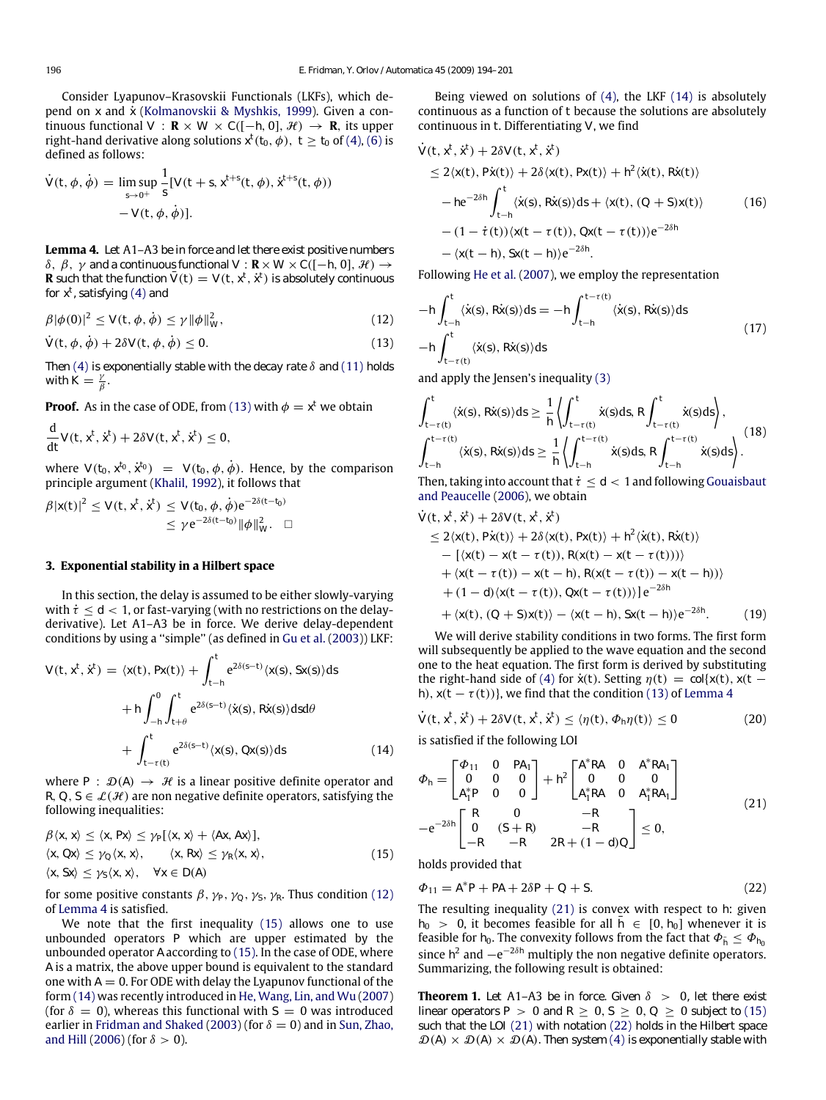Consider Lyapunov–Krasovskii Functionals (LKFs), which depend on *x* and *x*˙ (Kolmanovskii & Myshkis, 1999). Given a continuous functional  $V : \mathbf{R} \times W \times C([-h, 0], \mathcal{H}) \rightarrow \mathbf{R}$ , its upper right-hand derivative along solutions  $x^t$  ( $t_0, \phi$ ),  $t \geq t_0$  of (4), (6) is defined as follows:

$$
\dot{V}(t, \phi, \dot{\phi}) = \limsup_{s \to 0^+} \frac{1}{s} [V(t+s, x^{t+s}(t, \phi), \dot{x}^{t+s}(t, \phi))
$$

$$
- V(t, \phi, \dot{\phi})].
$$

**Lemma 4.** *Let* A1–A3 *be in force and let there exist positive numbers* δ,  $β$ ,  $γ$  and a continuous functional  $V : \mathbf{R} \times W \times C([-h, 0], \mathcal{H}) \rightarrow$ **R** such that the function  $\bar{V}(t) = V(t, x^t, \dot{x}^t)$  is absolutely continuous *for x<sup>t</sup> , satisfying* (4) *and*

$$
\beta |\phi(0)|^2 \le V(t, \phi, \dot{\phi}) \le \gamma ||\phi||_W^2,
$$
\n(12)

$$
\dot{V}(t, \phi, \dot{\phi}) + 2\delta V(t, \phi, \dot{\phi}) \le 0. \tag{13}
$$

*Then* (4) *is exponentially stable with the decay rate* δ *and* (11) *holds* with  $K = \frac{\gamma}{\beta}$ .

**Proof.** As in the case of ODE, from (13) with  $\phi = x^t$  we obtain d  $\frac{d}{dt}V(t, x^t, \dot{x}^t) + 2\delta V(t, x^t, \dot{x}^t) \leq 0,$ 

where  $V(t_0, x^{t_0}, \dot{x}^{t_0}) = V(t_0, \phi, \dot{\phi})$ . Hence, by the comparison principle argument (Khalil, 1992), it follows that

$$
\beta |x(t)|^2 \le V(t, x^t, \dot{x}^t) \le V(t_0, \phi, \dot{\phi}) e^{-2\delta(t-t_0)} \le \gamma e^{-2\delta(t-t_0)} \|\phi\|_{W}^2. \quad \Box
$$

#### **3. Exponential stability in a Hilbert space**

In this section, the delay is assumed to be either slowly-varying with  $\dot{\tau} \leq d < 1$ , or fast-varying (with no restrictions on the delayderivative). Let A1–A3 be in force. We derive delay-dependent conditions by using a ''simple'' (as defined in Gu et al. (2003)) LKF:

$$
V(t, x^{t}, \dot{x}^{t}) = \langle x(t), Px(t) \rangle + \int_{t-h}^{t} e^{2\delta(s-t)} \langle x(s), Sx(s) \rangle ds
$$

$$
+ h \int_{-h}^{0} \int_{t+\theta}^{t} e^{2\delta(s-t)} \langle \dot{x}(s), R\dot{x}(s) \rangle ds d\theta
$$

$$
+ \int_{t-\tau(t)}^{t} e^{2\delta(s-t)} \langle x(s), Qx(s) \rangle ds \qquad (14)
$$

where  $P : \mathcal{D}(A) \rightarrow \mathcal{H}$  is a linear positive definite operator and *R*, *Q*, *S*  $\in$  *L*(*H*) are non negative definite operators, satisfying the following inequalities:

$$
\beta \langle x, x \rangle \le \langle x, Px \rangle \le \gamma_P \left[ \langle x, x \rangle + \langle Ax, Ax \rangle \right],
$$
  
\langle x, Qx \rangle \le \gamma\_Q \langle x, x \rangle, \quad \langle x, Rx \rangle \le \gamma\_R \langle x, x \rangle,   
\langle x, Sx \rangle \le \gamma\_S \langle x, x \rangle, \quad \forall x \in D(A) (15)

for some positive constants  $\beta$ ,  $\gamma_P$ ,  $\gamma_Q$ ,  $\gamma_S$ ,  $\gamma_R$ . Thus condition (12) of Lemma 4 is satisfied.

We note that the first inequality (15) allows one to use unbounded operators *P* which are upper estimated by the unbounded operator *A* according to (15). In the case of ODE, where *A* is a matrix, the above upper bound is equivalent to the standard one with  $A = 0$ . For ODE with delay the Lyapunov functional of the form (14) was recently introduced in He, Wang, Lin, and Wu (2007) (for  $\delta = 0$ ), whereas this functional with  $S = 0$  was introduced earlier in Fridman and Shaked (2003) (for  $\delta = 0$ ) and in Sun, Zhao, and Hill (2006) (for  $\delta > 0$ ).

Being viewed on solutions of  $(4)$ , the LKF  $(14)$  is absolutely continuous as a function of *t* because the solutions are absolutely continuous in *t*. Differentiating *V*, we find

$$
\dot{V}(t, x^t, \dot{x}^t) + 2\delta V(t, x^t, \dot{x}^t)
$$
\n
$$
\leq 2\langle x(t), P\dot{x}(t)\rangle + 2\delta\langle x(t), P\dot{x}(t)\rangle + h^2\langle \dot{x}(t), R\dot{x}(t)\rangle
$$
\n
$$
-he^{-2\delta h} \int_{t-h}^t \langle \dot{x}(s), R\dot{x}(s)\rangle ds + \langle x(t), (Q+S)\dot{x}(t)\rangle \tag{16}
$$
\n
$$
- (1 - \dot{\tau}(t))\langle x(t - \tau(t)), Q\dot{x}(t - \tau(t))\rangle e^{-2\delta h}
$$
\n
$$
- \langle x(t-h), S\dot{x}(t-h)\rangle e^{-2\delta h}.
$$

Following He et al. (2007), we employ the representation

$$
-h \int_{t-h}^{t} \langle \dot{x}(s), R\dot{x}(s) \rangle ds = -h \int_{t-h}^{t-\tau(t)} \langle \dot{x}(s), R\dot{x}(s) \rangle ds
$$
  
-h 
$$
\int_{t-\tau(t)}^{t} \langle \dot{x}(s), R\dot{x}(s) \rangle ds
$$
 (17)

and apply the Jensen's inequality (3)

$$
\int_{t-\tau(t)}^t \langle \dot{\mathbf{x}}(s), \, R\dot{\mathbf{x}}(s) \rangle \, ds \ge \frac{1}{h} \left\{ \int_{t-\tau(t)}^t \dot{\mathbf{x}}(s) \, ds, \, R \int_{t-\tau(t)}^t \dot{\mathbf{x}}(s) \, ds \right\},
$$
\n
$$
\int_{t-h}^{t-\tau(t)} \langle \dot{\mathbf{x}}(s), \, R\dot{\mathbf{x}}(s) \rangle \, ds \ge \frac{1}{h} \left\{ \int_{t-h}^{t-\tau(t)} \dot{\mathbf{x}}(s) \, ds, \, R \int_{t-h}^{t-\tau(t)} \dot{\mathbf{x}}(s) \, ds \right\}.
$$
\n(18)

Then, taking into account that  $\dot{\tau} \leq d < 1$  and following Gouaisbaut and Peaucelle (2006), we obtain

$$
\dot{V}(t, x^{t}, \dot{x}^{t}) + 2\delta V(t, x^{t}, \dot{x}^{t})
$$
\n
$$
\leq 2\langle x(t), P\dot{x}(t)\rangle + 2\delta\langle x(t), P\dot{x}(t)\rangle + h^{2}\langle \dot{x}(t), R\dot{x}(t)\rangle
$$
\n
$$
- [\langle x(t) - x(t - \tau(t)), R(x(t) - x(t - \tau(t)))\rangle
$$
\n
$$
+ \langle x(t - \tau(t)) - x(t - h), R(x(t - \tau(t)) - x(t - h))\rangle
$$
\n
$$
+ (1 - d)\langle x(t - \tau(t)), Qx(t - \tau(t))\rangle]e^{-2\delta h}
$$
\n
$$
+ \langle x(t), (Q + S)x(t)\rangle - \langle x(t - h), Sx(t - h)\rangle e^{-2\delta h}.
$$
\n(19)

We will derive stability conditions in two forms. The first form will subsequently be applied to the wave equation and the second one to the heat equation. The first form is derived by substituting the right-hand side of (4) for  $\dot{x}(t)$ . Setting  $\eta(t) = \text{col}\{x(t), x(t$ *h*),  $x(t - \tau(t))$ , we find that the condition (13) of Lemma 4

$$
\dot{V}(t, x^t, \dot{x}^t) + 2\delta V(t, x^t, \dot{x}^t) \le \langle \eta(t), \Phi_h \eta(t) \rangle \le 0 \tag{20}
$$

is satisfied if the following LOI

$$
\Phi_h = \begin{bmatrix} \Phi_{11} & 0 & PA_1 \\ 0 & 0 & 0 \\ A_1^*P & 0 & 0 \end{bmatrix} + h^2 \begin{bmatrix} A^*RA & 0 & A^*RA_1 \\ 0 & 0 & 0 \\ A_1^*RA & 0 & A_1^*RA_1 \end{bmatrix}
$$
  
\n
$$
-e^{-2\delta h} \begin{bmatrix} R & 0 & -R \\ 0 & (S+R) & -R \\ -R & -R & 2R + (1-d)Q \end{bmatrix} \le 0,
$$
\n(21)

holds provided that

$$
\Phi_{11} = A^* P + P A + 2\delta P + Q + S. \tag{22}
$$

The resulting inequality (21) is convex with respect to *h*: given  $h_0 > 0$ , it becomes feasible for all  $h \in [0, h_0]$  whenever it is feasible for *h*<sub>0</sub>. The convexity follows from the fact that  $\Phi_{\bar{h}} \leq \Phi_{h_0}$ since  $h^2$  and  $-e^{-2\delta h}$  multiply the non negative definite operators. Summarizing, the following result is obtained:

**Theorem 1.** Let A1-A3 be in force. Given  $\delta > 0$ , let there exist *linear operators P* > 0 *and R*  $\ge$  0, *S*  $\ge$  0, *Q*  $\ge$  0 *subject to* (15) *such that the LOI* (21) *with notation* (22) *holds in the Hilbert space*  $\mathcal{D}(A) \times \mathcal{D}(A) \times \mathcal{D}(A)$ . Then system (4) is exponentially stable with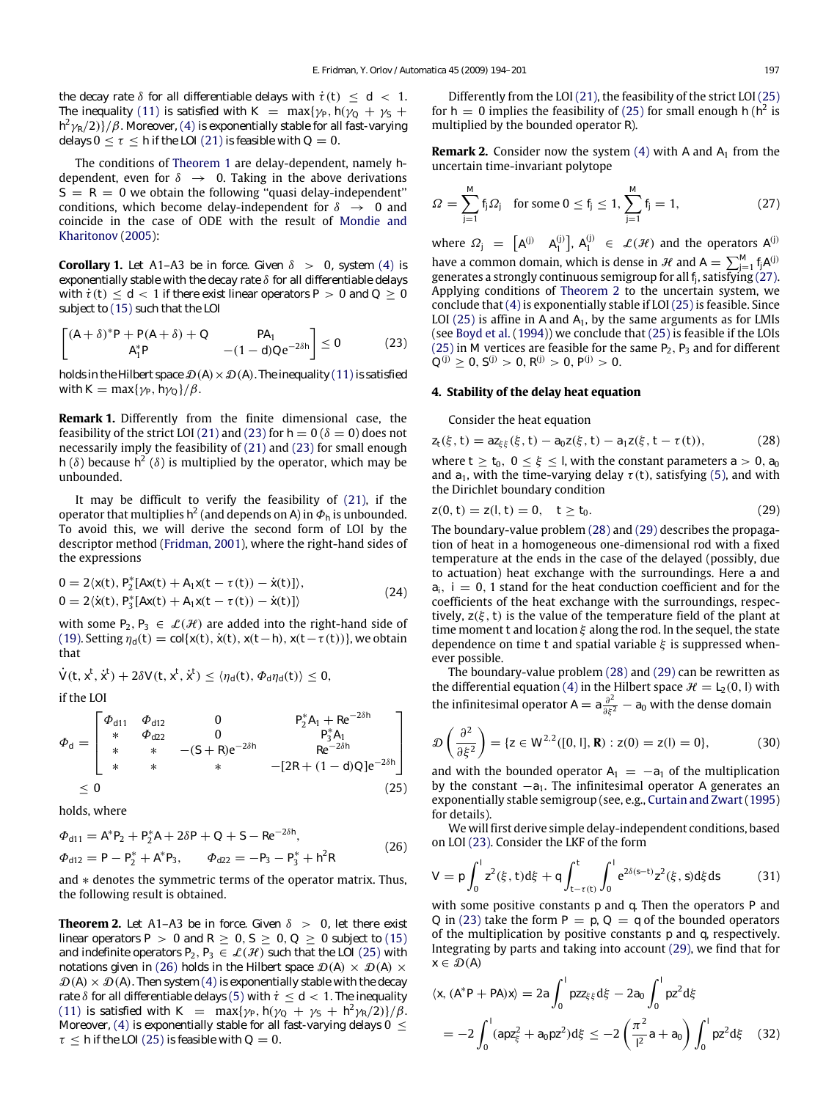*the decay rate*  $\delta$  *for all differentiable delays with*  $\dot{\tau}(t) \leq d < 1$ *. The inequality* (11) *is satisfied with*  $K = \max\{\gamma_P, h(\gamma_Q + \gamma_S + \gamma_S)\}$ *h* <sup>2</sup>γ*R*/2)}/β*. Moreover,* (4) *is exponentially stable for all fast-varying delays*  $0 \le \tau \le h$  *if the LOI* (21) *is feasible with*  $Q = 0$ *.* 

The conditions of Theorem 1 are delay-dependent, namely *h*dependent, even for  $\delta \rightarrow 0$ . Taking in the above derivations  $S = R = 0$  we obtain the following "quasi delay-independent" conditions, which become delay-independent for  $\delta \rightarrow 0$  and coincide in the case of ODE with the result of Mondie and Kharitonov (2005):

**Corollary 1.** Let A1-A3 be in force. Given  $\delta > 0$ , system (4) is *exponentially stable with the decay rate* δ *for all differentiable delays with*  $\dot{\tau}(t) \leq d < 1$  *if there exist linear operators P > 0 and Q > 0 subject to* (15) *such that the LOI*

$$
\begin{bmatrix} (A+\delta)^* P + P(A+\delta) + Q & PA_1 \\ A_1^* P & -(1-d)Qe^{-2\delta h} \end{bmatrix} \le 0
$$
 (23)

*holds in the Hilbert space*  $\mathcal{D}(A) \times \mathcal{D}(A)$ *. The inequality* (11) *is satisfied with*  $K = \max\{\gamma_P, h\gamma_Q\}/\beta$ *.* 

**Remark 1.** Differently from the finite dimensional case, the feasibility of the strict LOI (21) and (23) for  $h = 0$  ( $\delta = 0$ ) does not necessarily imply the feasibility of (21) and (23) for small enough *h* ( $\delta$ ) because *h*<sup>2</sup> ( $\delta$ ) is multiplied by the operator, which may be unbounded.

It may be difficult to verify the feasibility of (21), if the operator that multiplies  $h^2$  (and depends on A) in  $\varPhi_h$  is unbounded. To avoid this, we will derive the second form of LOI by the descriptor method (Fridman, 2001), where the right-hand sides of the expressions

$$
0 = 2\langle x(t), P_2^*[Ax(t) + A_1x(t - \tau(t)) - \dot{x}(t)] \rangle,
$$
  
\n
$$
0 = 2\langle \dot{x}(t), P_3^*[Ax(t) + A_1x(t - \tau(t)) - \dot{x}(t)] \rangle
$$
\n(24)

with some  $P_2, P_3 \in \mathcal{L}(\mathcal{H})$  are added into the right-hand side of (19). Setting  $\eta_d(t) = \text{col}\{x(t), \dot{x}(t), x(t-h), x(t-\tau(t))\}$ , we obtain that

$$
\dot{V}(t, x^t, \dot{x}^t) + 2\delta V(t, x^t, \dot{x}^t) \le \langle \eta_d(t), \Phi_d \eta_d(t) \rangle \le 0,
$$

if the LOI

$$
\Phi_d = \begin{bmatrix}\n\Phi_{d11} & \Phi_{d12} & 0 & P_2^* A_1 + Re^{-2\delta h} \\
* & \Phi_{d22} & 0 & P_3^* A_1 \\
* & * & -(S+R)e^{-2\delta h} & Re^{-2\delta h} \\
* & * & * & -(2R + (1-d)Q)e^{-2\delta h} \\
\leq 0 & (25)\n\end{bmatrix}
$$

holds, where

$$
\Phi_{d11} = A^* P_2 + P_2^* A + 2\delta P + Q + S - Re^{-2\delta h},
$$
  
\n
$$
\Phi_{d12} = P - P_2^* + A^* P_3, \qquad \Phi_{d22} = -P_3 - P_3^* + h^2 R
$$
\n(26)

and ∗ denotes the symmetric terms of the operator matrix. Thus, the following result is obtained.

**Theorem 2.** Let A1–A3 be in force. Given  $\delta > 0$ , let there exist *linear operators P*  $> 0$  *and R*  $> 0$ , *S*  $> 0$ , *Q*  $> 0$  *subject to* (15) *and indefinite operators*  $P_2, P_3 \in \mathcal{L}(\mathcal{H})$  *such that the LOI* (25) *with notations given in* (26) *holds in the Hilbert space*  $\mathcal{D}(A) \times \mathcal{D}(A) \times$  $D(A) \times D(A)$ . Then system (4) is exponentially stable with the decay *rate*  $\delta$  *for all differentiable delays* (5) with  $\dot{\tau} \leq d < 1$ *. The inequality* (11) *is satisfied with*  $K = \max\{\gamma_P, h(\gamma_Q + \gamma_S + h^2 \gamma_R/2)\}/\beta$ *. Moreover,* (4) *is exponentially stable for all fast-varying delays* 0 ≤  $\tau \leq h$  if the LOI (25) is feasible with  $Q = 0$ .

Differently from the LOI (21), the feasibility of the strict LOI (25) for  $h = 0$  implies the feasibility of (25) for small enough  $h(h^2)$  is multiplied by the bounded operator *R*).

**Remark 2.** Consider now the system (4) with *A* and *A*<sub>1</sub> from the uncertain time-invariant polytope

$$
\Omega = \sum_{j=1}^{M} f_j \Omega_j \quad \text{for some } 0 \le f_j \le 1, \sum_{j=1}^{M} f_j = 1,\tag{27}
$$

where  $\Omega_j = \begin{bmatrix} A^{(j)} & A_1^{(j)} \end{bmatrix}$ ,  $A_1^{(j)} \in \mathcal{L}(\mathcal{H})$  and the operators  $A^{(j)}$ have a common domain, which is dense in  $\mathcal{H}$  and  $A = \sum_{j=1}^{M} f_j A^{(j)}$ generates a strongly continuous semigroup for all *f<sup>j</sup>* , satisfying (27). Applying conditions of Theorem 2 to the uncertain system, we conclude that (4) is exponentially stable if LOI (25) is feasible. Since LOI (25) is affine in *A* and *A*1, by the same arguments as for LMIs (see Boyd et al. (1994)) we conclude that (25) is feasible if the LOIs (25) in *M* vertices are feasible for the same  $P_2$ ,  $P_3$  and for different  $Q^{(j)} \geq 0$ ,  $S^{(j)} > 0$ ,  $R^{(j)} > 0$ ,  $P^{(j)} > 0$ .

#### **4. Stability of the delay heat equation**

Consider the heat equation

$$
z_t(\xi, t) = az_{\xi\xi}(\xi, t) - a_0 z(\xi, t) - a_1 z(\xi, t - \tau(t)),
$$
\n(28)

where  $t \ge t_0$ ,  $0 \le \xi \le l$ , with the constant parameters  $a > 0$ ,  $a_0$ and  $a_1$ , with the time-varying delay  $\tau(t)$ , satisfying (5), and with the Dirichlet boundary condition

$$
z(0, t) = z(l, t) = 0, \quad t \ge t_0. \tag{29}
$$

The boundary-value problem (28) and (29) describes the propagation of heat in a homogeneous one-dimensional rod with a fixed temperature at the ends in the case of the delayed (possibly, due to actuation) heat exchange with the surroundings. Here *a* and  $a_i$ ,  $i = 0$ , 1 stand for the heat conduction coefficient and for the coefficients of the heat exchange with the surroundings, respectively,  $z(\xi, t)$  is the value of the temperature field of the plant at time moment *t* and location ξ along the rod. In the sequel, the state dependence on time *t* and spatial variable ξ is suppressed whenever possible.

The boundary-value problem (28) and (29) can be rewritten as the differential equation (4) in the Hilbert space  $\mathcal{H} = L_2(0, l)$  with the infinitesimal operator  $A = a \frac{\partial^2}{\partial \xi^2} - a_0$  with the dense domain

$$
\mathcal{D}\left(\frac{\partial^2}{\partial \xi^2}\right) = \{z \in W^{2,2}([0, \, \mathsf{I}], \mathbf{R}) : z(0) = z(\mathsf{I}) = 0\},\tag{30}
$$

and with the bounded operator  $A_1 = -a_1$  of the multiplication by the constant −*a*1. The infinitesimal operator *A* generates an exponentially stable semigroup (see, e.g., Curtain and Zwart (1995) for details).

We will first derive simple delay-independent conditions, based on LOI (23). Consider the LKF of the form

$$
V = p \int_0^l z^2(\xi, t) d\xi + q \int_{t-\tau(t)}^t \int_0^l e^{2\delta(s-t)} z^2(\xi, s) d\xi ds \qquad (31)
$$

with some positive constants *p* and *q*. Then the operators *P* and *Q* in (23) take the form  $P = p$ ,  $Q = q$  of the bounded operators of the multiplication by positive constants *p* and *q*, respectively. Integrating by parts and taking into account (29), we find that for  $x \in \mathcal{D}(A)$ 

$$
\langle x, (A^*P + PA)x \rangle = 2a \int_0^1 pz_{\xi\xi} d\xi - 2a_0 \int_0^1 pz^2 d\xi
$$
  
=  $-2 \int_0^1 (apz_{\xi}^2 + a_0pz^2) d\xi \le -2 \left(\frac{\pi^2}{\beta}a + a_0\right) \int_0^1 pz^2 d\xi$  (32)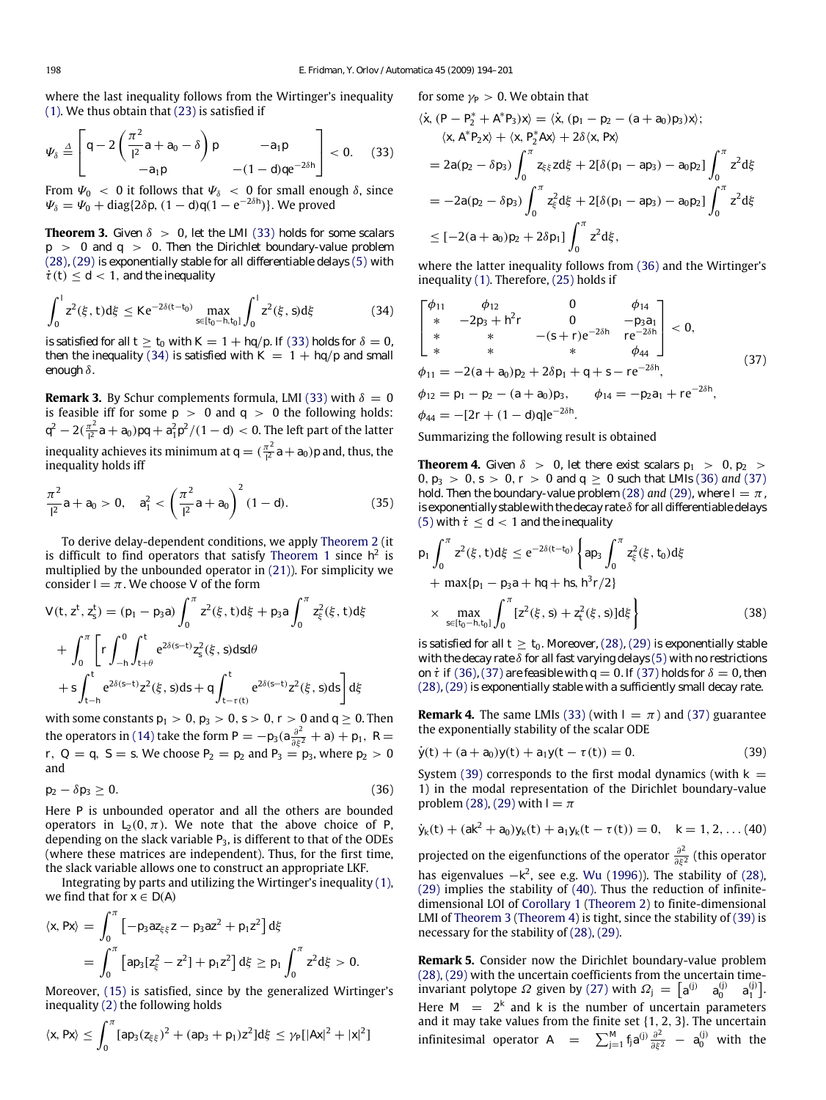where the last inequality follows from the Wirtinger's inequality (1). We thus obtain that (23) is satisfied if

$$
\Psi_{\delta} \stackrel{\Delta}{=} \begin{bmatrix} q - 2\left(\frac{\pi^2}{\rho}a + a_0 - \delta\right)\rho & -a_1\rho \\ -a_1\rho & -(1-\alpha)qe^{-2\delta h} \end{bmatrix} < 0. \tag{33}
$$

From  $\Psi_0~<~0$  it follows that  $\Psi_\delta~<~0$  for small enough  $\delta$ , since  $\Psi_\delta = \Psi_0 + \text{diag}\{2\delta p, (1-d)q(1-\text{e}^{-2\delta h})\}$ . We proved

**Theorem 3.** Given  $\delta > 0$ , let the LMI (33) holds for some scalars *p* > 0 *and q* > 0*. Then the Dirichlet boundary-value problem* (28)*,* (29) *is exponentially stable for all differentiable delays* (5) *with*  $\dot{\tau}(t) \leq d < 1$ , and the inequality

$$
\int_0^l z^2(\xi, t) d\xi \leq K e^{-2\delta(t-t_0)} \max_{s \in [t_0 - h, t_0]} \int_0^l z^2(\xi, s) d\xi \tag{34}
$$

*is satisfied for all t*  $\geq t_0$  *with*  $K = 1 + hq/p$ . If (33) *holds for*  $\delta = 0$ *, then the inequality* (34) *is satisfied with*  $K = 1 + hq/p$  *and small enough* δ*.*

**Remark 3.** By Schur complements formula, LMI (33) with  $\delta = 0$ is feasible iff for some  $p > 0$  and  $q > 0$  the following holds:  $q^2 - 2(\frac{\pi^2}{\rho})$  $\frac{\tau^2}{\beta^2}$ *a* + *a*<sub>0</sub>)*pq* + *a*<sup>2</sup><sub>1</sub>*p*<sup>2</sup>/(1 − *d*) < 0. The left part of the latter inequality achieves its minimum at  $q=(\frac{\pi^2}{\beta})$  $\frac{\pi^2}{\beta^2}$ *a* + *a*<sub>0</sub>)*p* and, thus, the inequality holds iff

$$
\frac{\pi^2}{\beta}a + a_0 > 0, \quad a_1^2 < \left(\frac{\pi^2}{\beta}a + a_0\right)^2 (1 - d). \tag{35}
$$

To derive delay-dependent conditions, we apply Theorem 2 (it is difficult to find operators that satisfy Theorem 1 since  $h^2$  is multiplied by the unbounded operator in (21)). For simplicity we consider  $l = \pi$ . We choose *V* of the form

$$
V(t, zt, zst) = (p1 - p3a) \int_0^{\pi} z^2(\xi, t) d\xi + p3a \int_0^{\pi} z_{\xi}^2(\xi, t) d\xi
$$
  
+ 
$$
\int_0^{\pi} \left[ r \int_{-h}^0 \int_{t+\theta}^t e^{2\delta(s-t)} z_s^2(\xi, s) ds d\theta \right]
$$
  
+ 
$$
s \int_{t-h}^t e^{2\delta(s-t)} z^2(\xi, s) ds + q \int_{t-\tau(t)}^t e^{2\delta(s-t)} z^2(\xi, s) ds \right] d\xi
$$

with some constants  $p_1 > 0$ ,  $p_3 > 0$ ,  $s > 0$ ,  $r > 0$  and  $q \ge 0$ . Then the operators in (14) take the form  $P = -p_3(a\frac{\partial^2}{\partial \xi^2} + a) + p_1$ ,  $R =$ *r*,  $Q = q$ ,  $S = s$ . We choose  $P_2 = p_2$  and  $P_3 = p_3$ , where  $p_2 > 0$ and

$$
p_2 - \delta p_3 \geq 0. \tag{36}
$$

Here *P* is unbounded operator and all the others are bounded operators in  $L_2(0, \pi)$ . We note that the above choice of *P*, depending on the slack variable *P*3, is different to that of the ODEs (where these matrices are independent). Thus, for the first time, the slack variable allows one to construct an appropriate LKF.

Integrating by parts and utilizing the Wirtinger's inequality (1), we find that for  $x \in D(A)$ 

$$
\langle x, Px \rangle = \int_0^{\pi} \left[ -p_3 a z_{\xi\xi} z - p_3 a z^2 + p_1 z^2 \right] d\xi
$$
  
= 
$$
\int_0^{\pi} \left[ ap_3[z_{\xi}^2 - z^2] + p_1 z^2 \right] d\xi \ge p_1 \int_0^{\pi} z^2 d\xi > 0.
$$

Moreover, (15) is satisfied, since by the generalized Wirtinger's inequality (2) the following holds

$$
\langle x, Px \rangle \leq \int_0^{\pi} [ap_3(z_{\xi\xi})^2 + (ap_3 + p_1)z^2] d\xi \leq \gamma_P [|Ax|^2 + |x|^2]
$$

for some  $\gamma_P > 0$ . We obtain that

$$
\langle \dot{x}, (P - P_{2}^{*} + A^{*}P_{3})x \rangle = \langle \dot{x}, (p_{1} - p_{2} - (a + a_{0})p_{3})x \rangle;
$$
  
\n
$$
\langle x, A^{*}P_{2}x \rangle + \langle x, P_{2}^{*}Ax \rangle + 2\delta \langle x, Px \rangle
$$
  
\n
$$
= 2a(p_{2} - \delta p_{3}) \int_{0}^{\pi} z_{\xi\xi} z d\xi + 2[\delta(p_{1} - ap_{3}) - a_{0}p_{2}] \int_{0}^{\pi} z^{2} d\xi
$$
  
\n
$$
= -2a(p_{2} - \delta p_{3}) \int_{0}^{\pi} z_{\xi}^{2} d\xi + 2[\delta(p_{1} - ap_{3}) - a_{0}p_{2}] \int_{0}^{\pi} z^{2} d\xi
$$
  
\n
$$
\leq [-2(a + a_{0})p_{2} + 2\delta p_{1}] \int_{0}^{\pi} z^{2} d\xi,
$$

where the latter inequality follows from (36) and the Wirtinger's inequality (1). Therefore, (25) holds if

$$
\begin{bmatrix}\n\phi_{11} & \phi_{12} & 0 & \phi_{14} \\
* & -2p_3 + h^2r & 0 & -p_3a_1 \\
* & * & -(s+r)e^{-2\delta h} & re^{-2\delta h} \\
* & * & * & \phi_{44}\n\end{bmatrix} < 0,
$$
\n
$$
\phi_{11} = -2(a + a_0)p_2 + 2\delta p_1 + q + s - re^{-2\delta h},
$$
\n
$$
\phi_{12} = p_1 - p_2 - (a + a_0)p_3, \quad \phi_{14} = -p_2a_1 + re^{-2\delta h},
$$
\n
$$
\phi_{44} = -[2r + (1 - d)q]e^{-2\delta h}.
$$
\n(37)

Summarizing the following result is obtained

**Theorem 4.** Given  $\delta > 0$ , let there exist scalars  $p_1 > 0$ ,  $p_2 >$  $0, p_3 > 0, s > 0, r > 0$  and  $q \ge 0$  such that LMIs (36) and (37) *hold. Then the boundary-value problem* (28) and (29), where  $I = \pi$ , *is exponentially stable with the decay rate* δ *for all differentiable delays* (5) with  $\dot{\tau} \leq d < 1$  and the inequality

$$
p_1 \int_0^{\pi} z^2(\xi, t) d\xi \le e^{-2\delta(t-t_0)} \left\{ ap_3 \int_0^{\pi} z_{\xi}^2(\xi, t_0) d\xi + \max\{p_1 - p_3 a + hq + h s, h^3 r/2\} \times \max_{s \in [t_0 - h, t_0]} \int_0^{\pi} [z^2(\xi, s) + z_t^2(\xi, s)] d\xi \right\}
$$
(38)

*is satisfied for all t*  $\geq t_0$ *. Moreover,* (28), (29) *is exponentially stable with the decay rate* δ *for all fast varying delays* (5) *with no restrictions on*  $\dot{\tau}$  *if* (36), (37) are feasible with  $q = 0$ . If (37) holds for  $\delta = 0$ , then (28)*,* (29) *is exponentially stable with a sufficiently small decay rate.*

**Remark 4.** The same LMIs (33) (with  $l = \pi$ ) and (37) guarantee the exponentially stability of the scalar ODE

$$
\dot{y}(t) + (a + a_0)y(t) + a_1y(t - \tau(t)) = 0.
$$
\n(39)

System (39) corresponds to the first modal dynamics (with  $k =$ 1) in the modal representation of the Dirichlet boundary-value problem (28), (29) with  $l = \pi$ 

$$
\dot{y}_k(t) + (ak^2 + a_0)y_k(t) + a_1y_k(t - \tau(t)) = 0, \quad k = 1, 2, \dots (40)
$$

projected on the eigenfunctions of the operator  $\frac{\partial^2}{\partial x^2}$  $\frac{\partial^2}{\partial \xi^2}$  (this operator has eigenvalues  $-k^2$ , see e.g. Wu (1996)). The stability of (28), (29) implies the stability of (40). Thus the reduction of infinitedimensional LOI of Corollary 1 (Theorem 2) to finite-dimensional LMI of Theorem 3 (Theorem 4) is tight, since the stability of (39) is necessary for the stability of (28), (29).

**Remark 5.** Consider now the Dirichlet boundary-value problem (28), (29) with the uncertain coefficients from the uncertain time*invariant polytope Ω* given by (27) with  $Ω_j = [a^{(j)} \quad a_0^{(j)} \quad a_1^{(j)}]$ . Here  $M = 2<sup>k</sup>$  and *k* is the number of uncertain parameters and it may take values from the finite set  $\{1, 2, 3\}$ . The uncertain infinitesimal operator  $A = \sum_{j=1}^{M} f_j a^{(j)} \frac{\partial^2}{\partial \xi^2} - a_0^{(j)}$  with the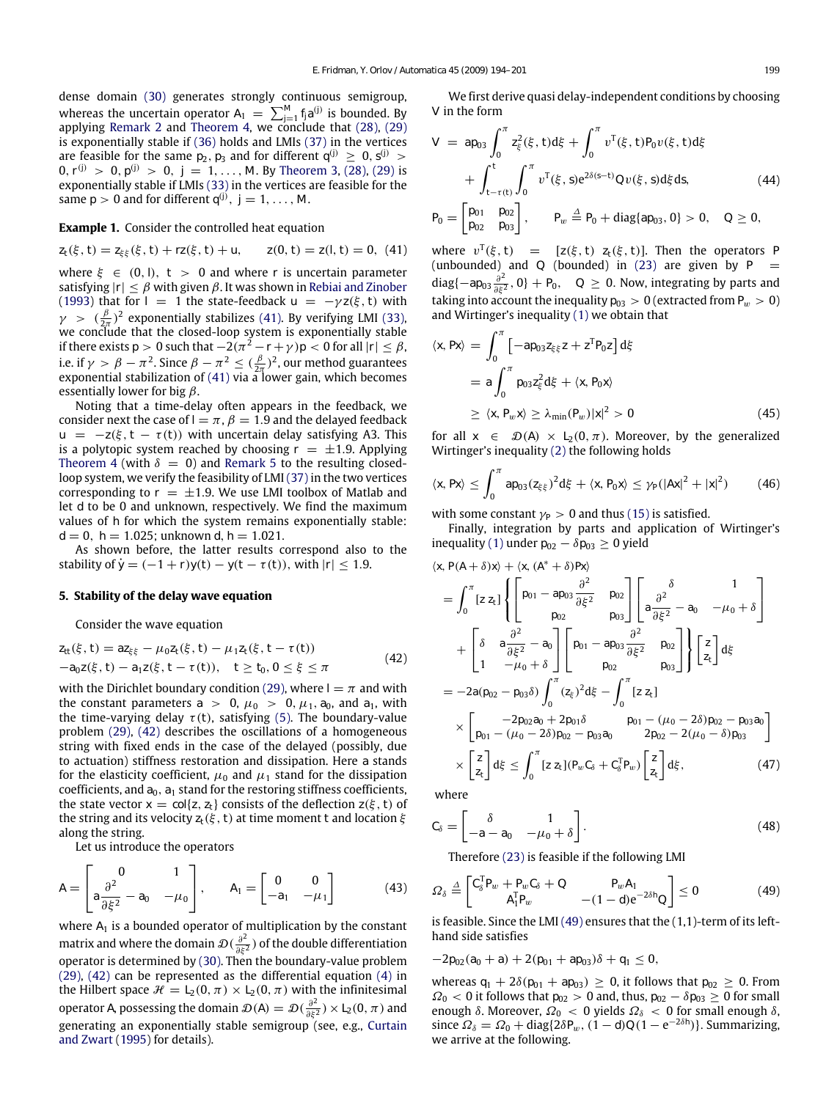dense domain (30) generates strongly continuous semigroup, whereas the uncertain operator  $A_1 = \sum_{j=1}^{M} f_j a^{(j)}$  is bounded. By applying Remark 2 and Theorem 4, we conclude that  $(28)$ ,  $(29)$ is exponentially stable if (36) holds and LMIs (37) in the vertices are feasible for the same  $p_2$ ,  $p_3$  and for different  $q^{(j)} \geq 0$ ,  $s^{(j)} > 0$  $0, r^{(j)} > 0, p^{(j)} > 0, j = 1, \ldots, M$ . By Theorem 3, (28), (29) is exponentially stable if LMIs (33) in the vertices are feasible for the same  $p > 0$  and for different  $q^{(j)}$ ,  $j = 1, \ldots, M$ .

#### **Example 1.** Consider the controlled heat equation

$$
z_t(\xi, t) = z_{\xi\xi}(\xi, t) + rz(\xi, t) + u, \qquad z(0, t) = z(l, t) = 0, \tag{41}
$$

where  $\xi \in (0, l)$ ,  $t > 0$  and where *r* is uncertain parameter satisfying  $|r| \leq \beta$  with given  $\beta$ . It was shown in Rebiai and Zinober (1993) that for  $l = 1$  the state-feedback  $u = -\gamma z(\xi, t)$  with  $\gamma > (\frac{\beta}{2\pi})^2$  exponentially stabilizes (41). By verifying LMI (33), we conclude that the closed-loop system is exponentially stable if there exists  $p>0$  such that  $-2(\pi^2-r+\gamma)p < 0$  for all  $|r| \leq \beta,$ i.e. if  $\gamma > \beta - \pi^2$ . Since  $\beta - \pi^2 \le (\frac{\beta}{2\pi})^2$ , our method guarantees exponential stabilization of  $(41)$  via a lower gain, which becomes essentially lower for big  $\beta$ .

Noting that a time-delay often appears in the feedback, we consider next the case of  $l = \pi$ ,  $\beta = 1.9$  and the delayed feedback  $u = -z(\xi, t - \tau(t))$  with uncertain delay satisfying A3. This is a polytopic system reached by choosing  $r = \pm 1.9$ . Applying Theorem 4 (with  $\delta = 0$ ) and Remark 5 to the resulting closedloop system, we verify the feasibility of LMI (37) in the two vertices corresponding to  $r = \pm 1.9$ . We use LMI toolbox of Matlab and let *d* to be 0 and unknown, respectively. We find the maximum values of *h* for which the system remains exponentially stable:  $d = 0$ ,  $h = 1.025$ ; unknown *d*,  $h = 1.021$ .

As shown before, the latter results correspond also to the stability of  $\dot{y} = (-1 + r)y(t) - y(t - \tau(t))$ , with  $|r| \le 1.9$ .

#### **5. Stability of the delay wave equation**

Consider the wave equation

$$
z_{tt}(\xi, t) = az_{\xi\xi} - \mu_0 z_t(\xi, t) - \mu_1 z_t(\xi, t - \tau(t))
$$
  
\n
$$
-a_0 z(\xi, t) - a_1 z(\xi, t - \tau(t)), \quad t \ge t_0, 0 \le \xi \le \pi
$$
\n(42)

with the Dirichlet boundary condition (29), where  $l = \pi$  and with the constant parameters  $a > 0$ ,  $\mu_0 > 0$ ,  $\mu_1$ ,  $a_0$ , and  $a_1$ , with the time-varying delay  $\tau(t)$ , satisfying (5). The boundary-value problem (29), (42) describes the oscillations of a homogeneous string with fixed ends in the case of the delayed (possibly, due to actuation) stiffness restoration and dissipation. Here *a* stands for the elasticity coefficient,  $\mu_0$  and  $\mu_1$  stand for the dissipation coefficients, and *a*0, *a*<sup>1</sup> stand for the restoring stiffness coefficients, the state vector  $x = col\{z, z_t\}$  consists of the deflection  $z(\xi, t)$  of the string and its velocity  $z_t(\xi, t)$  at time moment *t* and location  $\xi$ along the string.

Let us introduce the operators

$$
A = \begin{bmatrix} 0 & 1 \\ a\frac{\partial^2}{\partial \xi^2} - a_0 & -\mu_0 \end{bmatrix}, \qquad A_1 = \begin{bmatrix} 0 & 0 \\ -a_1 & -\mu_1 \end{bmatrix}
$$
(43)

where  $A_1$  is a bounded operator of multiplication by the constant matrix and where the domain  $\mathcal{D}(\frac{\partial^2}{\partial x^2})$  $\frac{\partial^2}{\partial \xi^2}$ ) of the double differentiation operator is determined by (30). Then the boundary-value problem (29), (42) can be represented as the differential equation (4) in the Hilbert space  $\mathcal{H} = L_2(0, \pi) \times L_2(0, \pi)$  with the infinitesimal operator A, possessing the domain  $\mathcal{D}(A) = \mathcal{D}(\frac{\partial^2}{\partial x^2})$  $\frac{\partial^2}{\partial \xi^2}) \times L_2(0, \pi)$  and generating an exponentially stable semigroup (see, e.g., Curtain and Zwart (1995) for details).

We first derive quasi delay-independent conditions by choosing *V* in the form

$$
V = ap_{03} \int_0^{\pi} z_{\xi}^2(\xi, t) d\xi + \int_0^{\pi} v^T(\xi, t) P_0 v(\xi, t) d\xi
$$
  
+ 
$$
\int_{t-\tau(t)}^t \int_0^{\pi} v^T(\xi, s) e^{2\delta(s-t)} Q v(\xi, s) d\xi ds, \qquad (44)
$$
  

$$
P_0 = \begin{bmatrix} p_{01} & p_{02} \\ p_{02} & p_{03} \end{bmatrix}, \qquad P_w \stackrel{\Delta}{=} P_0 + \text{diag}\{ap_{03}, 0\} > 0, \quad Q \ge 0,
$$

where  $v^{\text{T}}(\xi, t) = [z(\xi, t) z_t(\xi, t)]$ . Then the operators *P* (unbounded) and  $Q$  (bounded) in (23) are given by  $P =$ diag{*−ap*<sub>03</sub><sup> $\frac{\partial^2}{\partial \xi^2}$ </sup>  $\frac{\partial^2}{\partial \xi^2}$ , 0} + *P*<sub>0</sub>, Q  $\geq$  0. Now, integrating by parts and taking into account the inequality  $p_{03} > 0$  (extracted from  $P_w > 0$ ) and Wirtinger's inequality (1) we obtain that

$$
\langle x, Px \rangle = \int_0^{\pi} \left[ -ap_{03}z_{\xi\xi}z + z^{\mathrm{T}}P_0z \right] d\xi
$$
  
=  $a \int_0^{\pi} p_{03}z_{\xi}^2 d\xi + \langle x, P_0x \rangle$   
 $\geq \langle x, P_w x \rangle \geq \lambda_{\min}(P_w)|x|^2 > 0$  (45)

for all  $x \in \mathcal{D}(A) \times L_2(0, \pi)$ . Moreover, by the generalized Wirtinger's inequality (2) the following holds

$$
\langle x, Px \rangle \le \int_0^{\pi} ap_{03}(z_{\xi\xi})^2 d\xi + \langle x, P_0 x \rangle \le \gamma_P(|Ax|^2 + |x|^2)
$$
 (46)

with some constant  $\gamma_P > 0$  and thus (15) is satisfied.

Finally, integration by parts and application of Wirtinger's inequality (1) under  $p_{02} - \delta p_{03} \ge 0$  yield

$$
\langle x, P(A + \delta)x \rangle + \langle x, (A^* + \delta)Px \rangle
$$
\n
$$
= \int_0^{\pi} [z z_t] \left\{ \begin{bmatrix} p_{01} - ap_{03} \frac{\partial^2}{\partial \xi^2} & p_{02} \\ p_{02} & p_{03} \end{bmatrix} \begin{bmatrix} \delta & 1 \\ a \frac{\partial^2}{\partial \xi^2} - a_0 & -\mu_0 + \delta \end{bmatrix} \right\}
$$
\n
$$
+ \begin{bmatrix} \delta & a \frac{\partial^2}{\partial \xi^2} - a_0 \\ 1 & -\mu_0 + \delta \end{bmatrix} \begin{bmatrix} p_{01} - ap_{03} \frac{\partial^2}{\partial \xi^2} & p_{02} \\ p_{02} & p_{03} \end{bmatrix} \begin{bmatrix} z \\ z_t \end{bmatrix} d\xi
$$
\n
$$
= -2a(p_{02} - p_{03} \delta) \int_0^{\pi} (z_{\xi})^2 d\xi - \int_0^{\pi} [z z_t] \times \begin{bmatrix} -2p_{02}a_0 + 2p_{01} \delta & p_{01} - (\mu_0 - 2\delta)p_{02} - p_{03}a_0 \\ p_{01} - (\mu_0 - 2\delta)p_{02} - p_{03}a_0 & 2p_{02} - 2(\mu_0 - \delta)p_{03} \end{bmatrix}
$$
\n
$$
\times \begin{bmatrix} z \\ z_t \end{bmatrix} d\xi \le \int_0^{\pi} [z z_t] (P_w C_\delta + C_\delta^T P_w) \begin{bmatrix} z \\ z_t \end{bmatrix} d\xi, \tag{47}
$$

where

$$
C_{\delta} = \begin{bmatrix} \delta & 1 \\ -a - a_0 & -\mu_0 + \delta \end{bmatrix}.
$$
 (48)

Therefore (23) is feasible if the following LMI

$$
\Omega_{\delta} \stackrel{\Delta}{=} \begin{bmatrix} C_{\delta}^{\mathrm{T}} P_w + P_w C_{\delta} + Q & P_w A_1 \\ A_1^{\mathrm{T}} P_w & -(1 - d) e^{-2\delta h} Q \end{bmatrix} \le 0 \tag{49}
$$

is feasible. Since the LMI (49) ensures that the (1,1)-term of its lefthand side satisfies

 $-2p_{02}(a_0 + a) + 2(p_{01} + ap_{03})\delta + q_1 \leq 0$ ,

whereas  $q_1 + 2\delta(p_{01} + ap_{03}) \ge 0$ , it follows that  $p_{02} \ge 0$ . From  $\Omega_0 < 0$  it follows that  $p_{02} > 0$  and, thus,  $p_{02} - \delta p_{03} \geq 0$  for small enough  $\delta$ . Moreover,  $\Omega_0 < 0$  yields  $\Omega_\delta < 0$  for small enough  $\delta$ , since  $\Omega_{\delta} = \Omega_0 + \text{diag}\{2\delta P_w, (1 - d)Q(1 - e^{-2\delta h})\}$ . Summarizing, we arrive at the following.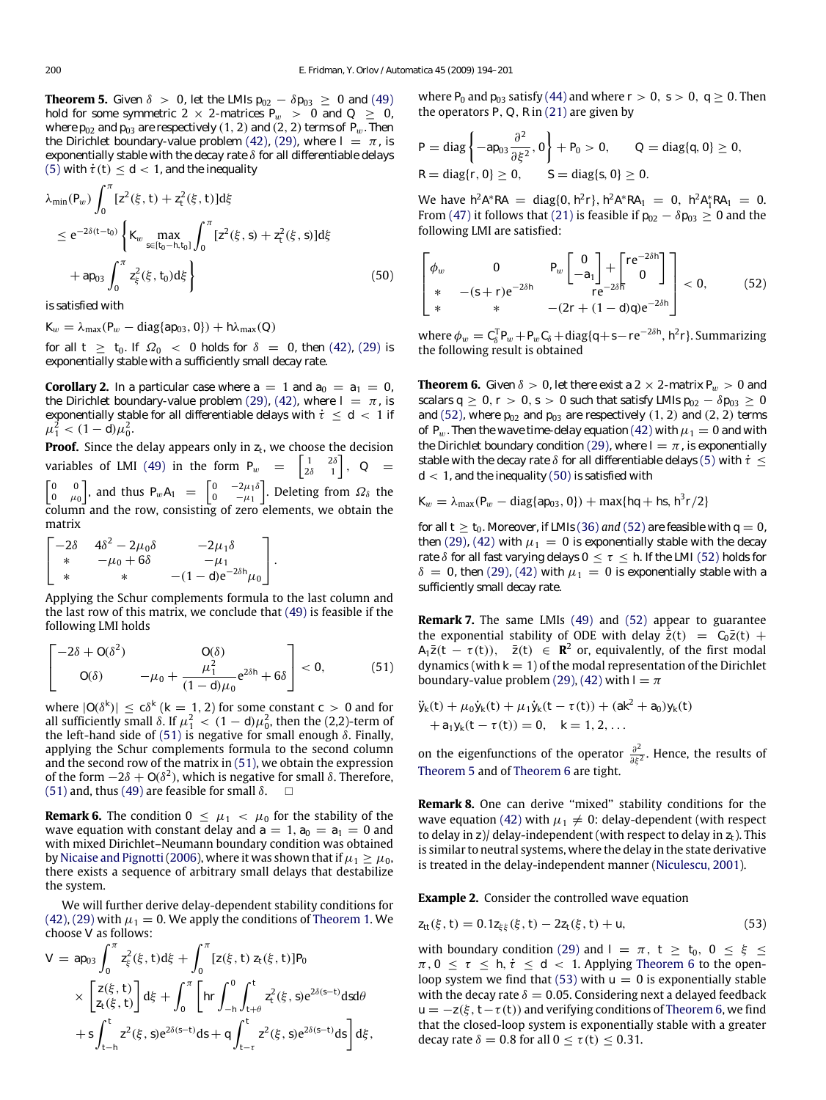**Theorem 5.** *Given*  $\delta$  > 0, let the LMIs  $p_{02} - \delta p_{03}$  ≥ 0 and (49) *hold for some symmetric*  $2 \times 2$ *-matrices*  $P_w > 0$  *and*  $Q > 0$ *, where*  $p_{02}$  *and*  $p_{03}$  *are respectively* (1, 2) *and* (2, 2) *terms of*  $P_w$ *. Then the Dirichlet boundary-value problem* (42), (29), where  $I = \pi$ , is *exponentially stable with the decay rate* δ *for all differentiable delays* (5) with  $\dot{\tau}(t) \leq d < 1$ , and the inequality

$$
\lambda_{\min}(P_w) \int_0^{\pi} [z^2(\xi, t) + z_t^2(\xi, t)] d\xi
$$
\n
$$
\leq e^{-2\delta(t-t_0)} \left\{ K_w \max_{s \in [t_0 - h, t_0]} \int_0^{\pi} [z^2(\xi, s) + z_t^2(\xi, s)] d\xi + ap_{03} \int_0^{\pi} z_{\xi}^2(\xi, t_0) d\xi \right\}
$$
\n(50)

*is satisfied with*

 $K_w = \lambda_{max}(P_w - \text{diag}\{ap_{03}, 0\}) + h\lambda_{max}(Q)$ 

*for all t*  $\geq t_0$ *. If*  $\Omega_0 < 0$  *holds for*  $\delta = 0$ *, then* (42)*,* (29) *is exponentially stable with a sufficiently small decay rate.*

**Corollary 2.** In a particular case where  $a = 1$  and  $a_0 = a_1 = 0$ , *the Dirichlet boundary-value problem* (29), (42), where  $I = \pi$ , is *exponentially stable for all differentiable delays with*  $\dot{\tau} \leq d < 1$  *if*  $\mu_1^2 < (1 - d)\mu_0^2$ .

**Proof.** Since the delay appears only in *z<sup>t</sup>* , we choose the decision variables of LMI (49) in the form  $P_w$  =  $\begin{bmatrix} 1 & 2\delta \\ 2\delta & 1 \end{bmatrix}$ ,  $Q$  =  $\begin{bmatrix} 0 & 0 \\ 0 & \mu_0 \end{bmatrix}$ , and thus  $P_wA_1 = \begin{bmatrix} 0 & -2\mu_1\delta \\ 0 & -\mu_1 \end{bmatrix}$ . Deleting from  $\Omega_\delta$  the column and the row, consisting of zero elements, we obtain the matrix

$$
\begin{bmatrix} -2\delta & 4\delta^2 - 2\mu_0\delta & -2\mu_1\delta \\ * & -\mu_0 + 6\delta & -\mu_1 \\ * & * & -(1-d)e^{-2\delta h}\mu_0 \end{bmatrix}.
$$

Applying the Schur complements formula to the last column and the last row of this matrix, we conclude that (49) is feasible if the following LMI holds

$$
\begin{bmatrix} -2\delta + O(\delta^2) & O(\delta) \\ O(\delta) & -\mu_0 + \frac{\mu_1^2}{(1-d)\mu_0} e^{2\delta h} + 6\delta \end{bmatrix} < 0, \quad (51)
$$

where  $|O(\delta^k)| \leq c\delta^k$  ( $k = 1, 2$ ) for some constant  $c > 0$  and for all sufficiently small  $\delta$ . If  $\mu_1^2 < (1 - d)\mu_0^2$ , then the (2,2)-term of the left-hand side of (51) is negative for small enough  $\delta$ . Finally, applying the Schur complements formula to the second column and the second row of the matrix in (51), we obtain the expression of the form  $-2δ + O(δ<sup>2</sup>)$ , which is negative for small δ. Therefore, (51) and, thus (49) are feasible for small  $\delta$ .

**Remark 6.** The condition  $0 \leq \mu_1 < \mu_0$  for the stability of the wave equation with constant delay and  $a = 1$ ,  $a_0 = a_1 = 0$  and with mixed Dirichlet–Neumann boundary condition was obtained by Nicaise and Pignotti (2006), where it was shown that if  $\mu_1 \geq \mu_0$ , there exists a sequence of arbitrary small delays that destabilize the system.

We will further derive delay-dependent stability conditions for (42), (29) with  $\mu_1 = 0$ . We apply the conditions of Theorem 1. We choose *V* as follows:

$$
V = ap_{03} \int_0^{\pi} z_{\xi}^2(\xi, t) d\xi + \int_0^{\pi} [z(\xi, t) z_t(\xi, t)] P_0
$$
  
 
$$
\times \left[ \frac{z(\xi, t)}{z_t(\xi, t)} \right] d\xi + \int_0^{\pi} \left[ hr \int_{-h}^0 \int_{t+\theta}^t z_t^2(\xi, s) e^{2\delta(s-t)} ds d\theta
$$
  
 
$$
+ s \int_{t-h}^t z^2(\xi, s) e^{2\delta(s-t)} ds + q \int_{t-\tau}^t z^2(\xi, s) e^{2\delta(s-t)} ds \right] d\xi,
$$

where  $P_0$  and  $p_{03}$  satisfy (44) and where  $r > 0$ ,  $s > 0$ ,  $q \ge 0$ . Then the operators *P*, *Q*, *R* in (21) are given by

$$
P = \text{diag}\left\{-ap_{03}\frac{\partial^2}{\partial \xi^2}, 0\right\} + P_0 > 0, \qquad Q = \text{diag}\{q, 0\} \ge 0, R = \text{diag}\{r, 0\} \ge 0, \qquad S = \text{diag}\{s, 0\} \ge 0.
$$

We have  $h^2 A^* R A = \text{diag}\{0, h^2 r\}$ ,  $h^2 A^* R A_1 = 0$ ,  $h^2 A_1^* R A_1 = 0$ . From (47) it follows that (21) is feasible if  $p_{02} - \delta p_{03} \ge 0$  and the following LMI are satisfied:

$$
\begin{bmatrix}\n\phi_w & 0 & P_w \begin{bmatrix} 0 \\ -a_1 \end{bmatrix} + \begin{bmatrix} re^{-2\delta h} \\ 0 \end{bmatrix} \\
* & -(s+r)e^{-2\delta h} & r e^{-2\delta h} \\
* & * & -(2r + (1-d)q)e^{-2\delta h}\n\end{bmatrix} < 0,\tag{52}
$$

where  $\phi_w = C_{\delta}^{\text{T}} P_w + P_w C_{\delta} + \text{diag}\{q + s - re^{-2\delta h}, h^2 r\}$ . Summarizing the following result is obtained

**Theorem 6.** *Given*  $\delta > 0$ , let there exist a 2  $\times$  2-matrix  $P_w > 0$  and *scalars q*  $\geq$  0, *r*  $>$  0, *s*  $>$  0 *such that satisfy LMIs*  $p_{02} - \delta p_{03} \geq 0$ and (52), where  $p_{02}$  and  $p_{03}$  are respectively (1, 2) and (2, 2) terms *of P<sub>w</sub>*. Then the wave time-delay equation (42) with  $\mu_1 = 0$  and with *the Dirichlet boundary condition* (29), where  $I = \pi$ , is exponentially *stable with the decay rate*  $\delta$  *for all differentiable delays* (5) with  $\dot{\tau} \leq$ *d* < 1*, and the inequality* (50) *is satisfied with*

$$
K_w = \lambda_{\max}(P_w - \text{diag}\{ap_{03}, 0\}) + \max\{hq + hs, h^3r/2\}
$$

*for all t*  $\geq t_0$ *. Moreover, if LMIs* (36) and (52) are feasible with  $q = 0$ , *then* (29), (42) with  $\mu_1 = 0$  is exponentially stable with the decay *rate*  $\delta$  *for all fast varying delays*  $0 < \tau <$  *h. If the LMI* (52) *holds for*  $\delta = 0$ , then (29), (42) with  $\mu_1 = 0$  is exponentially stable with a *sufficiently small decay rate.*

**Remark 7.** The same LMIs (49) and (52) appear to guarantee the exponential stability of ODE with delay  $\dot{\bar{z}}(t) = C_0 \bar{z}(t) +$  $A_1\overline{z}(t - \tau(t)), \quad \overline{z}(t) \in \mathbb{R}^2$  or, equivalently, of the first modal dynamics (with  $k = 1$ ) of the modal representation of the Dirichlet boundary-value problem (29), (42) with  $l = \pi$ 

$$
\ddot{y}_k(t) + \mu_0 \dot{y}_k(t) + \mu_1 \dot{y}_k(t - \tau(t)) + (ak^2 + a_0) y_k(t) + a_1 y_k(t - \tau(t)) = 0, \quad k = 1, 2, ...
$$

on the eigenfunctions of the operator  $\frac{\partial^2}{\partial x^2}$  $\frac{\partial^2}{\partial \xi^2}$ . Hence, the results of Theorem 5 and of Theorem 6 are tight.

**Remark 8.** One can derive "mixed" stability conditions for the wave equation (42) with  $\mu_1 \neq 0$ : delay-dependent (with respect to delay in *z*)/ delay-independent (with respect to delay in *zt*). This is similar to neutral systems, where the delay in the state derivative is treated in the delay-independent manner (Niculescu, 2001).

**Example 2.** Consider the controlled wave equation

$$
z_{tt}(\xi, t) = 0.1 z_{\xi\xi}(\xi, t) - 2z_t(\xi, t) + u,
$$
\n(53)

with boundary condition (29) and  $l = \pi$ ,  $t \ge t_0$ ,  $0 \le \xi \le$  $\pi$ ,  $0 \le \tau \le h$ ,  $\dot{\tau} \le d < 1$ . Applying Theorem 6 to the openloop system we find that (53) with  $u = 0$  is exponentially stable with the decay rate  $\delta = 0.05$ . Considering next a delayed feedback  $u = -z(\xi, t - \tau(t))$  and verifying conditions of Theorem 6, we find that the closed-loop system is exponentially stable with a greater decay rate  $\delta = 0.8$  for all  $0 \le \tau(t) \le 0.31$ .